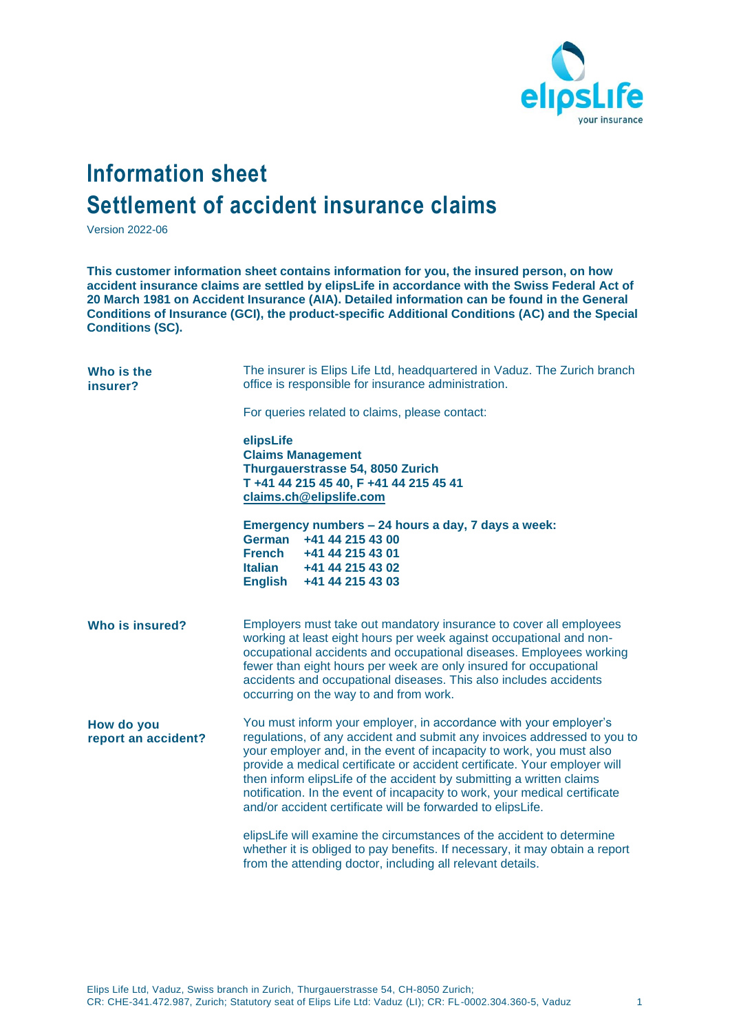

## **Information sheet Settlement of accident insurance claims**

Version 2022-06

**This customer information sheet contains information for you, the insured person, on how accident insurance claims are settled by elipsLife in accordance with the Swiss Federal Act of 20 March 1981 on Accident Insurance (AIA). Detailed information can be found in the General Conditions of Insurance (GCI), the product-specific Additional Conditions (AC) and the Special Conditions (SC).**

| Who is the<br>insurer?            | The insurer is Elips Life Ltd, headquartered in Vaduz. The Zurich branch<br>office is responsible for insurance administration.                                                                                                                                                                                                                                                                                                                                                                                         |
|-----------------------------------|-------------------------------------------------------------------------------------------------------------------------------------------------------------------------------------------------------------------------------------------------------------------------------------------------------------------------------------------------------------------------------------------------------------------------------------------------------------------------------------------------------------------------|
|                                   | For queries related to claims, please contact:                                                                                                                                                                                                                                                                                                                                                                                                                                                                          |
|                                   | elipsLife<br><b>Claims Management</b><br>Thurgauerstrasse 54, 8050 Zurich<br>T +41 44 215 45 40, F +41 44 215 45 41<br>claims.ch@elipslife.com                                                                                                                                                                                                                                                                                                                                                                          |
|                                   | Emergency numbers - 24 hours a day, 7 days a week:<br>+41 44 215 43 00<br>German<br><b>French</b><br>+41 44 215 43 01<br><b>Italian</b><br>+41 44 215 43 02<br><b>English</b><br>+41 44 215 43 03                                                                                                                                                                                                                                                                                                                       |
| Who is insured?                   | Employers must take out mandatory insurance to cover all employees<br>working at least eight hours per week against occupational and non-<br>occupational accidents and occupational diseases. Employees working<br>fewer than eight hours per week are only insured for occupational<br>accidents and occupational diseases. This also includes accidents<br>occurring on the way to and from work.                                                                                                                    |
| How do you<br>report an accident? | You must inform your employer, in accordance with your employer's<br>regulations, of any accident and submit any invoices addressed to you to<br>your employer and, in the event of incapacity to work, you must also<br>provide a medical certificate or accident certificate. Your employer will<br>then inform elipsLife of the accident by submitting a written claims<br>notification. In the event of incapacity to work, your medical certificate<br>and/or accident certificate will be forwarded to elipsLife. |
|                                   | elipsLife will examine the circumstances of the accident to determine<br>whether it is obliged to pay benefits. If necessary, it may obtain a report<br>from the attending doctor, including all relevant details.                                                                                                                                                                                                                                                                                                      |